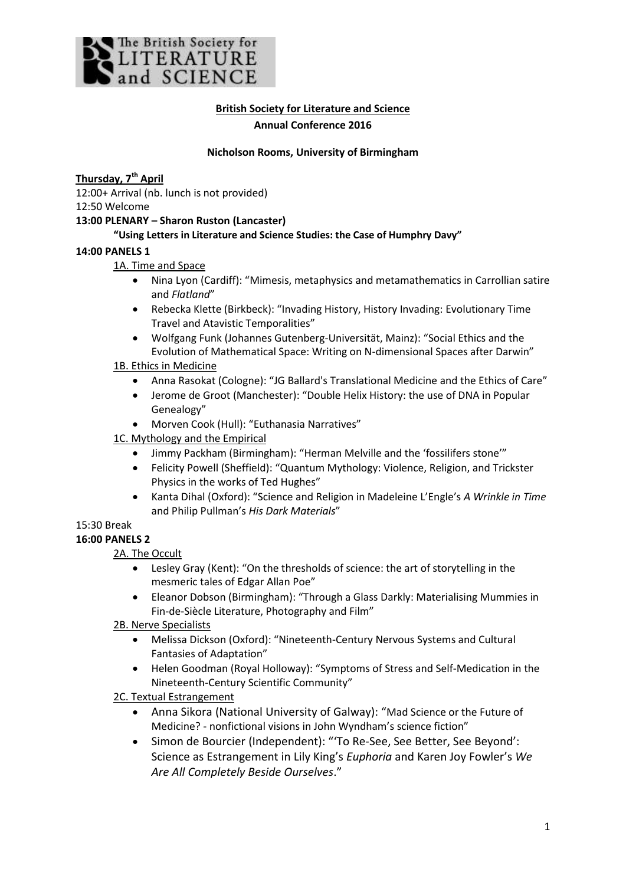

## **British Society for Literature and Science Annual Conference 2016**

#### **Nicholson Rooms, University of Birmingham**

## **Thursday, 7th April**

12:00+ Arrival (nb. lunch is not provided)

12:50 Welcome

## **13:00 PLENARY – Sharon Ruston (Lancaster)**

## **"Using Letters in Literature and Science Studies: the Case of Humphry Davy"**

### **14:00 PANELS 1**

## 1A. Time and Space

- Nina Lyon (Cardiff): "Mimesis, metaphysics and metamathematics in Carrollian satire and *Flatland*"
- Rebecka Klette (Birkbeck): "Invading History, History Invading: Evolutionary Time Travel and Atavistic Temporalities"
- Wolfgang Funk (Johannes Gutenberg-Universität, Mainz): "Social Ethics and the Evolution of Mathematical Space: Writing on N-dimensional Spaces after Darwin"

## 1B. Ethics in Medicine

- Anna Rasokat (Cologne): "JG Ballard's Translational Medicine and the Ethics of Care"
- Jerome de Groot (Manchester): "Double Helix History: the use of DNA in Popular Genealogy"
- Morven Cook (Hull): "Euthanasia Narratives"

## 1C. Mythology and the Empirical

- Jimmy Packham (Birmingham): "Herman Melville and the 'fossilifers stone'"
- Felicity Powell (Sheffield): "Quantum Mythology: Violence, Religion, and Trickster Physics in the works of Ted Hughes"
- Kanta Dihal (Oxford): "Science and Religion in Madeleine L'Engle's *A Wrinkle in Time* and Philip Pullman's *His Dark Materials*"

# 15:30 Break

## **16:00 PANELS 2**

## 2A. The Occult

- Lesley Gray (Kent): "On the thresholds of science: the art of storytelling in the mesmeric tales of Edgar Allan Poe"
- Eleanor Dobson (Birmingham): "Through a Glass Darkly: Materialising Mummies in Fin-de-Siècle Literature, Photography and Film"

## 2B. Nerve Specialists

- Melissa Dickson (Oxford): "Nineteenth-Century Nervous Systems and Cultural Fantasies of Adaptation"
- Helen Goodman (Royal Holloway): "Symptoms of Stress and Self-Medication in the Nineteenth-Century Scientific Community"

## 2C. Textual Estrangement

- Anna Sikora (National University of Galway): "Mad Science or the Future of Medicine? - nonfictional visions in John Wyndham's science fiction"
- Simon de Bourcier (Independent): "'To Re-See, See Better, See Beyond': Science as Estrangement in Lily King's *Euphoria* and Karen Joy Fowler's *We Are All Completely Beside Ourselves*."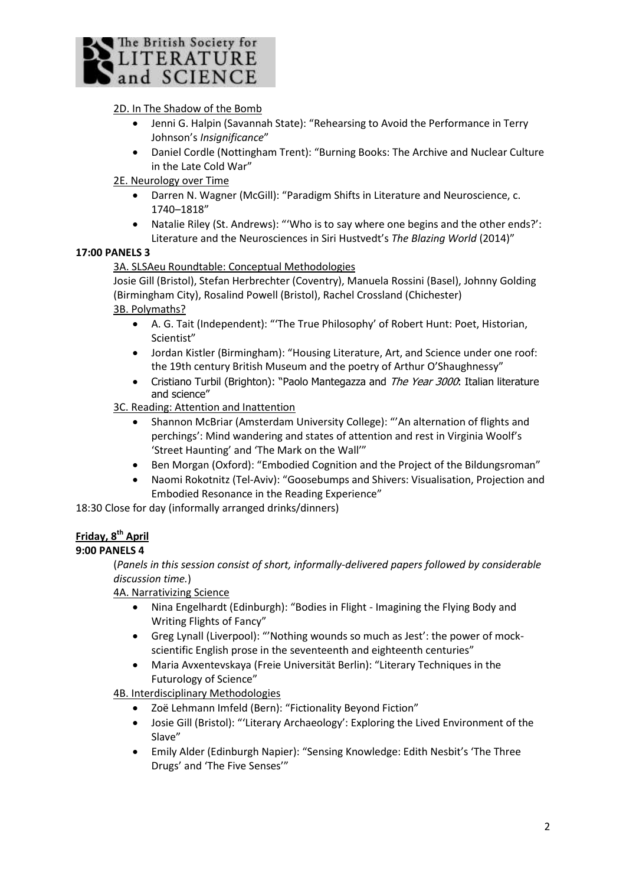

## 2D. In The Shadow of the Bomb

- Jenni G. Halpin (Savannah State): "Rehearsing to Avoid the Performance in Terry Johnson's *Insignificance*"
- Daniel Cordle (Nottingham Trent): "Burning Books: The Archive and Nuclear Culture in the Late Cold War"

### 2E. Neurology over Time

- Darren N. Wagner (McGill): "Paradigm Shifts in Literature and Neuroscience, c. 1740–1818"
- Natalie Riley (St. Andrews): "'Who is to say where one begins and the other ends?': Literature and the Neurosciences in Siri Hustvedt's *The Blazing World* (2014)"

### **17:00 PANELS 3**

### 3A. SLSAeu Roundtable: Conceptual Methodologies

Josie Gill (Bristol), Stefan Herbrechter (Coventry), Manuela Rossini (Basel), Johnny Golding (Birmingham City), Rosalind Powell (Bristol), Rachel Crossland (Chichester) 3B. Polymaths?

- A. G. Tait (Independent): "'The True Philosophy' of Robert Hunt: Poet, Historian, Scientist"
- Jordan Kistler (Birmingham): "Housing Literature, Art, and Science under one roof: the 19th century British Museum and the poetry of Arthur O'Shaughnessy"
- Cristiano Turbil (Brighton): "Paolo Mantegazza and The Year 3000: Italian literature and science"
- 3C. Reading: Attention and Inattention
	- Shannon McBriar (Amsterdam University College): "'An alternation of flights and perchings': Mind wandering and states of attention and rest in Virginia Woolf's 'Street Haunting' and 'The Mark on the Wall'"
	- Ben Morgan (Oxford): "Embodied Cognition and the Project of the Bildungsroman"
	- Naomi Rokotnitz (Tel-Aviv): "Goosebumps and Shivers: Visualisation, Projection and Embodied Resonance in the Reading Experience"

18:30 Close for day (informally arranged drinks/dinners)

## **Friday, 8th April**

## **9:00 PANELS 4**

(*Panels in this session consist of short, informally-delivered papers followed by considerable discussion time.*)

#### 4A. Narrativizing Science

- Nina Engelhardt (Edinburgh): "Bodies in Flight Imagining the Flying Body and Writing Flights of Fancy"
- Greg Lynall (Liverpool): "'Nothing wounds so much as Jest': the power of mockscientific English prose in the seventeenth and eighteenth centuries"
- Maria Avxentevskaya (Freie Universität Berlin): "Literary Techniques in the Futurology of Science"

4B. Interdisciplinary Methodologies

- Zoë Lehmann Imfeld (Bern): "Fictionality Beyond Fiction"
- Josie Gill (Bristol): "'Literary Archaeology': Exploring the Lived Environment of the Slave"
- Emily Alder (Edinburgh Napier): "Sensing Knowledge: Edith Nesbit's 'The Three Drugs' and 'The Five Senses'"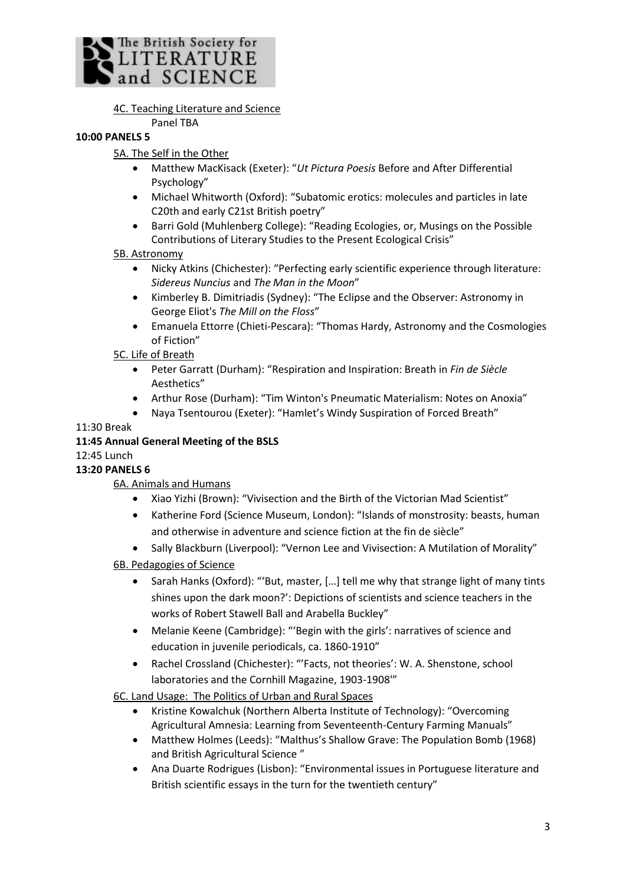

4C. Teaching Literature and Science

## Panel TBA

# **10:00 PANELS 5**

## 5A. The Self in the Other

- Matthew MacKisack (Exeter): "*Ut Pictura Poesis* Before and After Differential Psychology"
- Michael Whitworth (Oxford): "Subatomic erotics: molecules and particles in late C20th and early C21st British poetry"
- Barri Gold (Muhlenberg College): "Reading Ecologies, or, Musings on the Possible Contributions of Literary Studies to the Present Ecological Crisis"

## 5B. Astronomy

- Nicky Atkins (Chichester): "Perfecting early scientific experience through literature: *Sidereus Nuncius* and *The Man in the Moon*"
- Kimberley B. Dimitriadis (Sydney): "The Eclipse and the Observer: Astronomy in George Eliot's *The Mill on the Floss*"
- Emanuela Ettorre (Chieti-Pescara): "Thomas Hardy, Astronomy and the Cosmologies of Fiction"

## 5C. Life of Breath

- Peter Garratt (Durham): "Respiration and Inspiration: Breath in *Fin de Siècle* Aesthetics"
- Arthur Rose (Durham): "Tim Winton's Pneumatic Materialism: Notes on Anoxia"
- Naya Tsentourou (Exeter): "Hamlet's Windy Suspiration of Forced Breath"

## 11:30 Break

## **11:45 Annual General Meeting of the BSLS**

## 12:45 Lunch

## **13:20 PANELS 6**

6A. Animals and Humans

- Xiao Yizhi (Brown): "Vivisection and the Birth of the Victorian Mad Scientist"
- Katherine Ford (Science Museum, London): "Islands of monstrosity: beasts, human and otherwise in adventure and science fiction at the fin de siècle"
- Sally Blackburn (Liverpool): "Vernon Lee and Vivisection: A Mutilation of Morality"

6B. Pedagogies of Science

- Sarah Hanks (Oxford): "'But, master, […] tell me why that strange light of many tints shines upon the dark moon?': Depictions of scientists and science teachers in the works of Robert Stawell Ball and Arabella Buckley"
- Melanie Keene (Cambridge): "'Begin with the girls': narratives of science and education in juvenile periodicals, ca. 1860-1910"
- Rachel Crossland (Chichester): "'Facts, not theories': W. A. Shenstone, school laboratories and the Cornhill Magazine, 1903-1908'"

6C. Land Usage: The Politics of Urban and Rural Spaces

- Kristine Kowalchuk (Northern Alberta Institute of Technology): "Overcoming Agricultural Amnesia: Learning from Seventeenth-Century Farming Manuals"
- Matthew Holmes (Leeds): "Malthus's Shallow Grave: The Population Bomb (1968) and British Agricultural Science "
- Ana Duarte Rodrigues (Lisbon): "Environmental issues in Portuguese literature and British scientific essays in the turn for the twentieth century"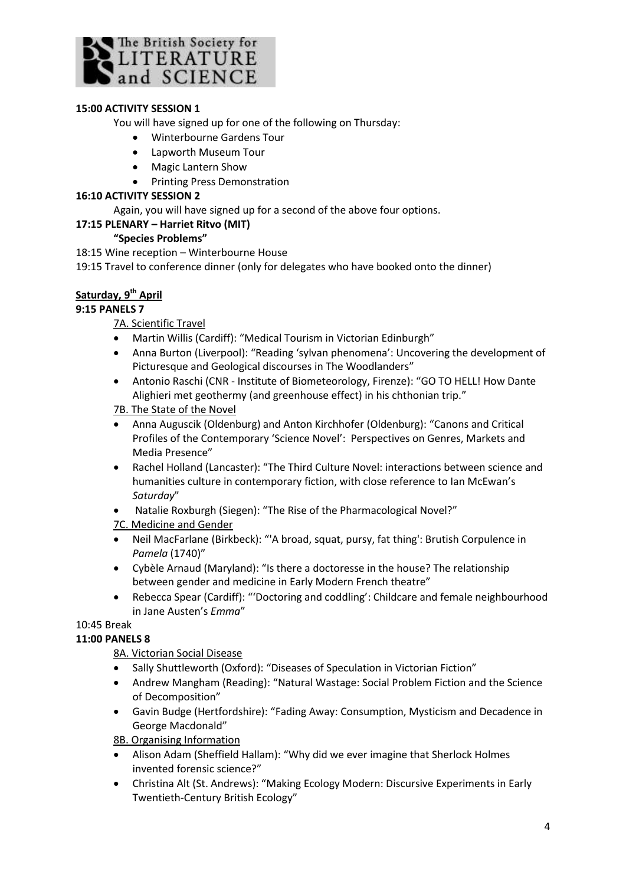

## **15:00 ACTIVITY SESSION 1**

You will have signed up for one of the following on Thursday:

- Winterbourne Gardens Tour
- Lapworth Museum Tour
- Magic Lantern Show
- Printing Press Demonstration

#### **16:10 ACTIVITY SESSION 2**

Again, you will have signed up for a second of the above four options.

### **17:15 PLENARY – Harriet Ritvo (MIT)**

### **"Species Problems"**

18:15 Wine reception – Winterbourne House

19:15 Travel to conference dinner (only for delegates who have booked onto the dinner)

## **Saturday, 9th April**

## **9:15 PANELS 7**

7A. Scientific Travel

- Martin Willis (Cardiff): "Medical Tourism in Victorian Edinburgh"
- Anna Burton (Liverpool): "Reading 'sylvan phenomena': Uncovering the development of Picturesque and Geological discourses in The Woodlanders"
- Antonio Raschi (CNR Institute of Biometeorology, Firenze): "GO TO HELL! How Dante Alighieri met geothermy (and greenhouse effect) in his chthonian trip."
- 7B. The State of the Novel
- Anna Auguscik (Oldenburg) and Anton Kirchhofer (Oldenburg): "Canons and Critical Profiles of the Contemporary 'Science Novel': Perspectives on Genres, Markets and Media Presence"
- Rachel Holland (Lancaster): "The Third Culture Novel: interactions between science and humanities culture in contemporary fiction, with close reference to Ian McEwan's *Saturday*"
- Natalie Roxburgh (Siegen): "The Rise of the Pharmacological Novel?"
- 7C. Medicine and Gender
- Neil MacFarlane (Birkbeck): "'A broad, squat, pursy, fat thing': Brutish Corpulence in *Pamela* (1740)"
- Cybèle Arnaud (Maryland): "Is there a doctoresse in the house? The relationship between gender and medicine in Early Modern French theatre"
- Rebecca Spear (Cardiff): "'Doctoring and coddling': Childcare and female neighbourhood in Jane Austen's *Emma*"

## 10:45 Break

## **11:00 PANELS 8**

8A. Victorian Social Disease

- Sally Shuttleworth (Oxford): "Diseases of Speculation in Victorian Fiction"
- Andrew Mangham (Reading): "Natural Wastage: Social Problem Fiction and the Science of Decomposition"
- Gavin Budge (Hertfordshire): "Fading Away: Consumption, Mysticism and Decadence in George Macdonald"

8B. Organising Information

- Alison Adam (Sheffield Hallam): "Why did we ever imagine that Sherlock Holmes invented forensic science?"
- Christina Alt (St. Andrews): "Making Ecology Modern: Discursive Experiments in Early Twentieth-Century British Ecology"